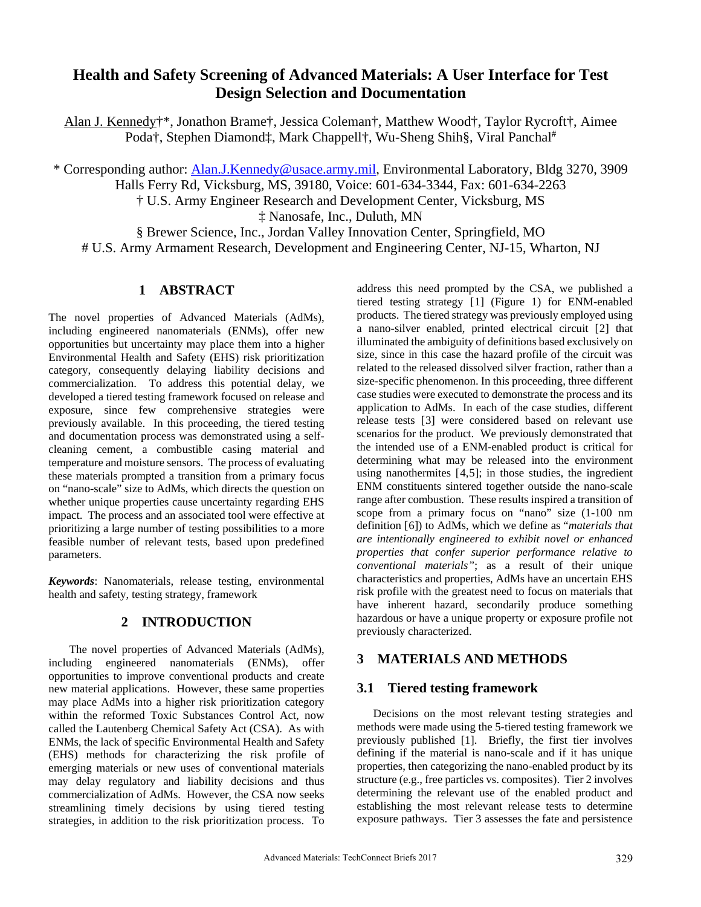# **Health and Safety Screening of Advanced Materials: A User Interface for Test Design Selection and Documentation**

Alan J. Kennedy†\*, Jonathon Brame†, Jessica Coleman†, Matthew Wood†, Taylor Rycroft†, Aimee Poda†, Stephen Diamond‡, Mark Chappell†, Wu-Sheng Shih§, Viral Panchal#

\* Corresponding author: [Alan.J.Kennedy@usace.army.mil,](mailto:Alan.J.Kennedy@usace.army.mil) Environmental Laboratory, Bldg 3270, 3909

Halls Ferry Rd, Vicksburg, MS, 39180, Voice: 601-634-3344, Fax: 601-634-2263

† U.S. Army Engineer Research and Development Center, Vicksburg, MS

‡ Nanosafe, Inc., Duluth, MN

§ Brewer Science, Inc., Jordan Valley Innovation Center, Springfield, MO

# U.S. Army Armament Research, Development and Engineering Center, NJ-15, Wharton, NJ

## **1 ABSTRACT**

The novel properties of Advanced Materials (AdMs), including engineered nanomaterials (ENMs), offer new opportunities but uncertainty may place them into a higher Environmental Health and Safety (EHS) risk prioritization category, consequently delaying liability decisions and commercialization. To address this potential delay, we developed a tiered testing framework focused on release and exposure, since few comprehensive strategies were previously available. In this proceeding, the tiered testing and documentation process was demonstrated using a selfcleaning cement, a combustible casing material and temperature and moisture sensors. The process of evaluating these materials prompted a transition from a primary focus on "nano-scale" size to AdMs, which directs the question on whether unique properties cause uncertainty regarding EHS impact. The process and an associated tool were effective at prioritizing a large number of testing possibilities to a more feasible number of relevant tests, based upon predefined parameters.

*Keywords*: Nanomaterials, release testing, environmental health and safety, testing strategy, framework

## **2 INTRODUCTION**

The novel properties of Advanced Materials (AdMs), including engineered nanomaterials (ENMs), offer opportunities to improve conventional products and create new material applications. However, these same properties may place AdMs into a higher risk prioritization category within the reformed Toxic Substances Control Act, now called the Lautenberg Chemical Safety Act (CSA). As with ENMs, the lack of specific Environmental Health and Safety (EHS) methods for characterizing the risk profile of emerging materials or new uses of conventional materials may delay regulatory and liability decisions and thus commercialization of AdMs. However, the CSA now seeks streamlining timely decisions by using tiered testing strategies, in addition to the risk prioritization process. To

<span id="page-0-0"></span>address this need prompted by the CSA, we published a tiered testing strategy [[1\]](#page-3-0) (Figure 1) for ENM-enabled products. The tiered strategy was previously employed using a nano-silver enabled, printed electrical circuit [[2\]](#page-3-1) that illuminated the ambiguity of definitions based exclusively on size, since in this case the hazard profile of the circuit was related to the released dissolved silver fraction, rather than a size-specific phenomenon. In this proceeding, three different case studies were executed to demonstrate the process and its application to AdMs. In each of the case studies, different release tests [[3\]](#page-3-2) were considered based on relevant use scenarios for the product. We previously demonstrated that the intended use of a ENM-enabled product is critical for determining what may be released into the environment using nanothermites [[4,](#page-3-3)[5](#page-3-4)]; in those studies, the ingredient ENM constituents sintered together outside the nano-scale range after combustion. These results inspired a transition of scope from a primary focus on "nano" size (1-100 nm definition [[6](#page-3-5)]) to AdMs, which we define as "*materials that are intentionally engineered to exhibit novel or enhanced properties that confer superior performance relative to conventional materials"*; as a result of their unique characteristics and properties, AdMs have an uncertain EHS risk profile with the greatest need to focus on materials that have inherent hazard, secondarily produce something hazardous or have a unique property or exposure profile not previously characterized.

## **3 MATERIALS AND METHODS**

## **3.1 Tiered testing framework**

Decisions on the most relevant testing strategies and methods were made using the 5-tiered testing framework we previously published [\[1\]](#page-0-0). Briefly, the first tier involves defining if the material is nano-scale and if it has unique properties, then categorizing the nano-enabled product by its structure (e.g., free particles vs. composites). Tier 2 involves determining the relevant use of the enabled product and establishing the most relevant release tests to determine exposure pathways. Tier 3 assesses the fate and persistence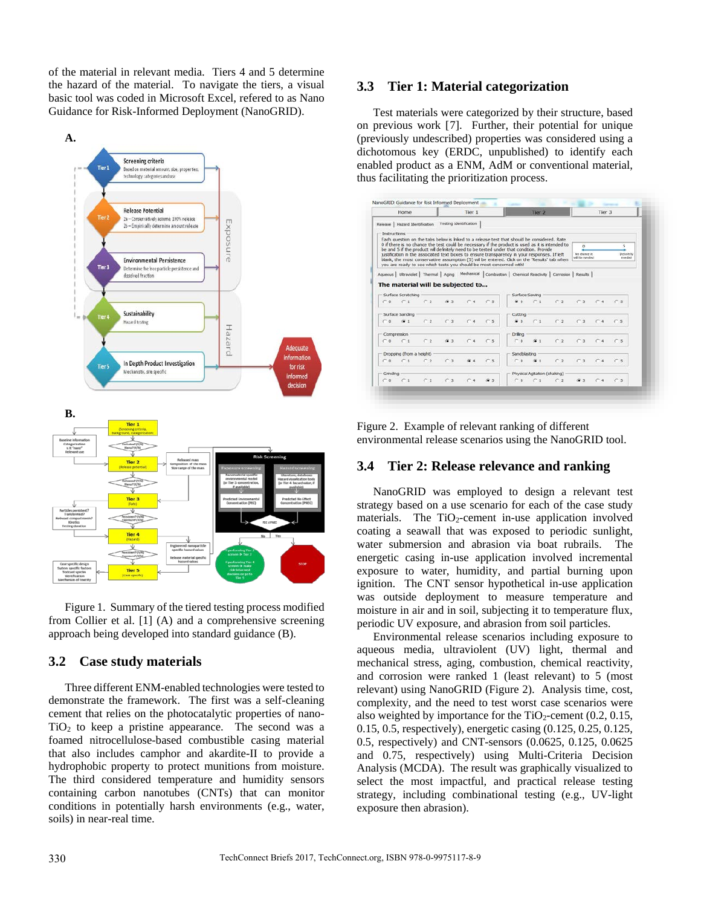of the material in relevant media. Tiers 4 and 5 determine the hazard of the material. To navigate the tiers, a visual basic tool was coded in Microsoft Excel, refered to as Nano Guidance for Risk-Informed Deployment (NanoGRID).



Figure 1. Summary of the tiered testing process modified from Collier et al. [\[1\]](#page-0-0) (A) and a comprehensive screening approach being developed into standard guidance (B).

## **3.2 Case study materials**

Three different ENM-enabled technologies were tested to demonstrate the framework. The first was a self-cleaning cement that relies on the photocatalytic properties of nano- $TiO<sub>2</sub>$  to keep a pristine appearance. The second was a foamed nitrocellulose-based combustible casing material that also includes camphor and akardite-II to provide a hydrophobic property to protect munitions from moisture. The third considered temperature and humidity sensors containing carbon nanotubes (CNTs) that can monitor conditions in potentially harsh environments (e.g., water, soils) in near-real time.

## **3.3 Tier 1: Material categorization**

Test materials were categorized by their structure, based on previous work [[7](#page-3-6)]. Further, their potential for unique (previously undescribed) properties was considered using a dichotomous key (ERDC, unpublished) to identify each enabled product as a ENM, AdM or conventional material, thus facilitating the prioritization process.

| Home                                                                                                                                                                                                                                                                                                                                                                                     |                |                                 | Tier <sub>1</sub> |     |                                   | Tier <sub>2</sub>                                                                                             |                |                              | Tier <sub>3</sub>                |                |                         |       |
|------------------------------------------------------------------------------------------------------------------------------------------------------------------------------------------------------------------------------------------------------------------------------------------------------------------------------------------------------------------------------------------|----------------|---------------------------------|-------------------|-----|-----------------------------------|---------------------------------------------------------------------------------------------------------------|----------------|------------------------------|----------------------------------|----------------|-------------------------|-------|
|                                                                                                                                                                                                                                                                                                                                                                                          |                | Release   Hazard Identification |                   |     | Testing Identification            |                                                                                                               |                |                              |                                  |                |                         |       |
|                                                                                                                                                                                                                                                                                                                                                                                          | Instructions   |                                 |                   |     |                                   |                                                                                                               |                |                              |                                  |                |                         |       |
|                                                                                                                                                                                                                                                                                                                                                                                          |                |                                 |                   |     |                                   | Each question on the tabs below is linked to a release test that should be considered. Rate                   |                |                              |                                  | $\Omega$       |                         |       |
| 0 if there is no chance the test could be necessary if the product is used as t is intended to<br>be and 5 if the product wil definitely need to be tested under that condition. Provide<br>justification in the associated text boxes to ensure transparency in your responses. If left<br>blank, the most conservative assumption (5) will be entered. Click on the 'Results' tab when |                |                                 |                   |     |                                   |                                                                                                               |                |                              |                                  |                |                         |       |
|                                                                                                                                                                                                                                                                                                                                                                                          |                |                                 |                   |     |                                   |                                                                                                               |                |                              | No chance it.<br>will be mended. |                | Definitely<br>rows days |       |
|                                                                                                                                                                                                                                                                                                                                                                                          |                |                                 |                   |     |                                   | you are ready to see which tests you should be most concerned with!                                           |                |                              |                                  |                |                         |       |
|                                                                                                                                                                                                                                                                                                                                                                                          |                |                                 |                   |     |                                   | Aqueous   Ultraviolet   Thermal   Aging   Mechanical   Combustion   Chemical Reactivity   Corrosion   Results |                |                              |                                  |                |                         |       |
|                                                                                                                                                                                                                                                                                                                                                                                          |                |                                 |                   |     |                                   |                                                                                                               |                |                              |                                  |                |                         |       |
|                                                                                                                                                                                                                                                                                                                                                                                          |                |                                 |                   |     | The material will be subjected to |                                                                                                               |                |                              |                                  |                |                         |       |
|                                                                                                                                                                                                                                                                                                                                                                                          |                | Surface Scratching              |                   |     |                                   |                                                                                                               | Surface Sawing |                              |                                  |                |                         |       |
|                                                                                                                                                                                                                                                                                                                                                                                          | $\cap$ 0       | C <sub>1</sub>                  | C2                | 6.3 | C.4                               | C.5                                                                                                           | G 0            | C1                           | C.2                              | C <sub>3</sub> | $-4$                    | CS    |
|                                                                                                                                                                                                                                                                                                                                                                                          |                | - Surface Sanding               |                   |     |                                   |                                                                                                               | Cutting        |                              |                                  |                |                         |       |
|                                                                                                                                                                                                                                                                                                                                                                                          | C <sub>0</sub> | 61                              | C2                | C3  | $C_A$                             | C5                                                                                                            | 60             | C1                           | C2                               | C3             | $C_A$                   | C.5   |
|                                                                                                                                                                                                                                                                                                                                                                                          |                | Compression                     |                   |     |                                   |                                                                                                               | Driling        |                              |                                  |                |                         |       |
|                                                                                                                                                                                                                                                                                                                                                                                          | $\cap$         | C1                              | C <sub>2</sub>    | 63  | C.4                               | C.5                                                                                                           | $\subset$ 0    | G 1                          | C <sub>2</sub>                   | C3             |                         | C.5   |
|                                                                                                                                                                                                                                                                                                                                                                                          |                |                                 |                   |     |                                   |                                                                                                               | Sandblasting   |                              |                                  |                |                         |       |
|                                                                                                                                                                                                                                                                                                                                                                                          |                | Dropping (from a height)        |                   |     | G 4                               | C.5                                                                                                           | $\cap$ 0       | 信 1                          | C2                               | C.3            | $C - 4$                 | $C_S$ |
|                                                                                                                                                                                                                                                                                                                                                                                          | $\subset$ 0    | $C_{1}$                         | C2                | C3  |                                   |                                                                                                               |                |                              |                                  |                |                         |       |
|                                                                                                                                                                                                                                                                                                                                                                                          | - Grinding     |                                 |                   |     |                                   |                                                                                                               |                | Physical Agitation (shaking) |                                  |                |                         |       |

<span id="page-1-0"></span>Figure 2. Example of relevant ranking of different environmental release scenarios using the NanoGRID tool.

## **3.4 Tier 2: Release relevance and ranking**

NanoGRID was employed to design a relevant test strategy based on a use scenario for each of the case study materials. The  $TiO<sub>2</sub>$ -cement in-use application involved coating a seawall that was exposed to periodic sunlight, water submersion and abrasion via boat rubrails. The energetic casing in-use application involved incremental exposure to water, humidity, and partial burning upon ignition. The CNT sensor hypothetical in-use application was outside deployment to measure temperature and moisture in air and in soil, subjecting it to temperature flux, periodic UV exposure, and abrasion from soil particles.

Environmental release scenarios including exposure to aqueous media, ultraviolent (UV) light, thermal and mechanical stress, aging, combustion, chemical reactivity, and corrosion were ranked 1 (least relevant) to 5 (most relevant) using NanoGRID [\(Figure 2\)](#page-1-0). Analysis time, cost, complexity, and the need to test worst case scenarios were also weighted by importance for the  $TiO<sub>2</sub>$ -cement (0.2, 0.15, 0.15, 0.5, respectively), energetic casing (0.125, 0.25, 0.125, 0.5, respectively) and CNT-sensors (0.0625, 0.125, 0.0625 and 0.75, respectively) using Multi-Criteria Decision Analysis (MCDA). The result was graphically visualized to select the most impactful, and practical release testing strategy, including combinational testing (e.g., UV-light exposure then abrasion).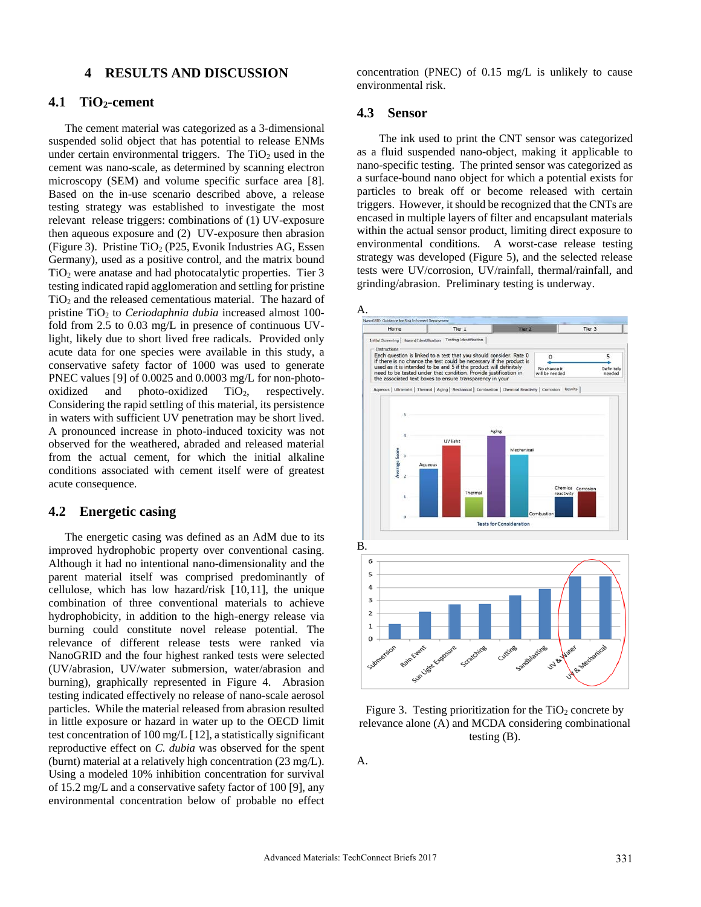#### **4 RESULTS AND DISCUSSION**

#### **4.1 TiO2-cement**

The cement material was categorized as a 3-dimensional suspended solid object that has potential to release ENMs under certain environmental triggers. The  $TiO<sub>2</sub>$  used in the cement was nano-scale, as determined by scanning electron microscopy (SEM) and volume specific surface area [[8\]](#page-3-9). Based on the in-use scenario described above, a release testing strategy was established to investigate the most relevant release triggers: combinations of (1) UV-exposure then aqueous exposure and (2) UV-exposure then abrasion [\(Figure 3\)](#page-2-0). Pristine  $TiO<sub>2</sub>$  (P25, Evonik Industries AG, Essen Germany), used as a positive control, and the matrix bound TiO2 were anatase and had photocatalytic properties. Tier 3 testing indicated rapid agglomeration and settling for pristine  $TiO<sub>2</sub>$  and the released cementatious material. The hazard of pristine TiO2 to *Ceriodaphnia dubia* increased almost 100 fold from 2.5 to 0.03 mg/L in presence of continuous UVlight*,* likely due to short lived free radicals. Provided only acute data for one species were available in this study, a conservative safety factor of 1000 was used to generate PNEC values [[9](#page-3-10)] of 0.0025 and 0.0003 mg/L for non-photooxidized and photo-oxidized  $TiO<sub>2</sub>$ , respectively. Considering the rapid settling of this material, its persistence in waters with sufficient UV penetration may be short lived. A pronounced increase in photo-induced toxicity was not observed for the weathered, abraded and released material from the actual cement, for which the initial alkaline conditions associated with cement itself were of greatest acute consequence.

### <span id="page-2-1"></span>**4.2 Energetic casing**

The energetic casing was defined as an AdM due to its improved hydrophobic property over conventional casing. Although it had no intentional nano-dimensionality and the parent material itself was comprised predominantly of cellulose, which has low hazard/risk [[10,](#page-3-11)[11\]](#page-3-12), the unique combination of three conventional materials to achieve hydrophobicity, in addition to the high-energy release via burning could constitute novel release potential. The relevance of different release tests were ranked via NanoGRID and the four highest ranked tests were selected (UV/abrasion, UV/water submersion, water/abrasion and burning), graphically represented in [Figure 4.](#page-3-7) Abrasion testing indicated effectively no release of nano-scale aerosol particles. While the material released from abrasion resulted in little exposure or hazard in water up to the OECD limit test concentration of 100 mg/L [[12\]](#page-3-13), a statistically significant reproductive effect on *C. dubia* was observed for the spent (burnt) material at a relatively high concentration (23 mg/L). Using a modeled 10% inhibition concentration for survival of 15.2 mg/L and a conservative safety factor of 100 [\[9\]](#page-2-1), any environmental concentration below of probable no effect concentration (PNEC) of 0.15 mg/L is unlikely to cause environmental risk.

#### **4.3 Sensor**

 The ink used to print the CNT sensor was categorized as a fluid suspended nano-object, making it applicable to nano-specific testing. The printed sensor was categorized as a surface-bound nano object for which a potential exists for particles to break off or become released with certain triggers. However, it should be recognized that the CNTs are encased in multiple layers of filter and encapsulant materials within the actual sensor product, limiting direct exposure to environmental conditions. A worst-case release testing strategy was developed [\(Figure 5\)](#page-3-8), and the selected release tests were UV/corrosion, UV/rainfall, thermal/rainfall, and grinding/abrasion. Preliminary testing is underway.



<span id="page-2-0"></span>Figure 3. Testing prioritization for the  $TiO<sub>2</sub>$  concrete by relevance alone (A) and MCDA considering combinational testing (B).

A.